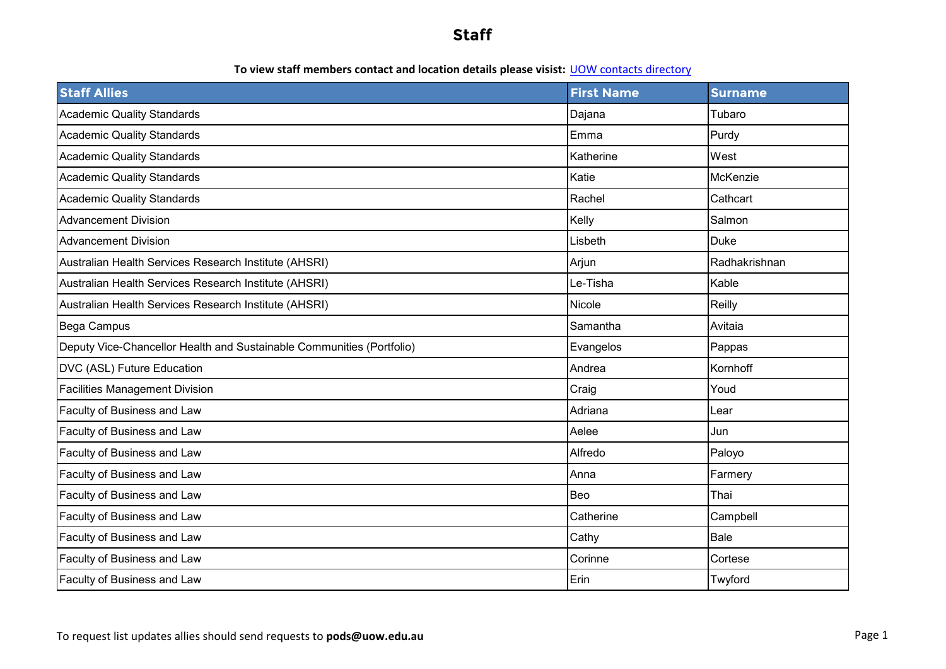#### **To view staff members contact and location details please visist:** UOW contacts directory

| <b>Staff Allies</b>                                                   | <b>First Name</b> | <b>Surname</b> |
|-----------------------------------------------------------------------|-------------------|----------------|
| <b>Academic Quality Standards</b>                                     | Dajana            | Tubaro         |
| <b>Academic Quality Standards</b>                                     | Emma              | Purdy          |
| <b>Academic Quality Standards</b>                                     | Katherine         | West           |
| <b>Academic Quality Standards</b>                                     | Katie             | McKenzie       |
| <b>Academic Quality Standards</b>                                     | Rachel            | Cathcart       |
| <b>Advancement Division</b>                                           | Kelly             | Salmon         |
| <b>Advancement Division</b>                                           | Lisbeth           | <b>Duke</b>    |
| Australian Health Services Research Institute (AHSRI)                 | Arjun             | Radhakrishnan  |
| Australian Health Services Research Institute (AHSRI)                 | Le-Tisha          | Kable          |
| Australian Health Services Research Institute (AHSRI)                 | Nicole            | Reilly         |
| Bega Campus                                                           | Samantha          | Avitaia        |
| Deputy Vice-Chancellor Health and Sustainable Communities (Portfolio) | Evangelos         | Pappas         |
| DVC (ASL) Future Education                                            | Andrea            | Kornhoff       |
| <b>Facilities Management Division</b>                                 | Craig             | Youd           |
| Faculty of Business and Law                                           | Adriana           | Lear           |
| Faculty of Business and Law                                           | Aelee             | Jun            |
| Faculty of Business and Law                                           | Alfredo           | Paloyo         |
| Faculty of Business and Law                                           | Anna              | Farmery        |
| Faculty of Business and Law                                           | Beo               | Thai           |
| Faculty of Business and Law                                           | Catherine         | Campbell       |
| Faculty of Business and Law                                           | Cathy             | Bale           |
| Faculty of Business and Law                                           | Corinne           | Cortese        |
| Faculty of Business and Law                                           | Erin              | Twyford        |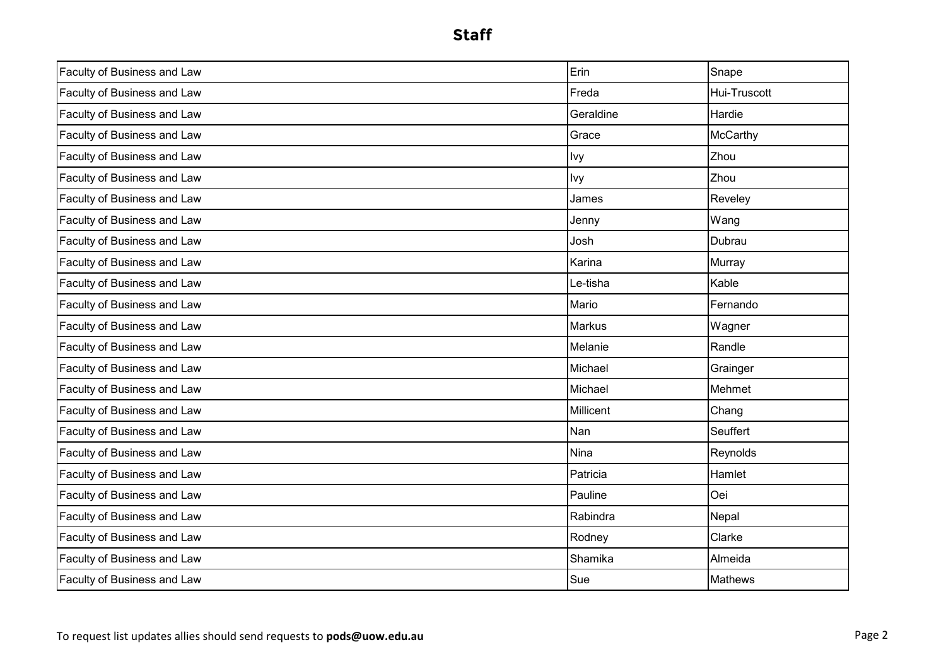| Faculty of Business and Law        | Erin             | Snape          |
|------------------------------------|------------------|----------------|
| Faculty of Business and Law        | Freda            | Hui-Truscott   |
| Faculty of Business and Law        | Geraldine        | Hardie         |
| <b>Faculty of Business and Law</b> | Grace            | McCarthy       |
| Faculty of Business and Law        | Ivy              | Zhou           |
| Faculty of Business and Law        | Ivy              | Zhou           |
| Faculty of Business and Law        | James            | Reveley        |
| Faculty of Business and Law        | Jenny            | Wang           |
| Faculty of Business and Law        | Josh             | Dubrau         |
| Faculty of Business and Law        | Karina           | Murray         |
| Faculty of Business and Law        | Le-tisha         | Kable          |
| Faculty of Business and Law        | Mario            | Fernando       |
| Faculty of Business and Law        | <b>Markus</b>    | Wagner         |
| Faculty of Business and Law        | Melanie          | Randle         |
| Faculty of Business and Law        | Michael          | Grainger       |
| Faculty of Business and Law        | Michael          | Mehmet         |
| Faculty of Business and Law        | <b>Millicent</b> | Chang          |
| Faculty of Business and Law        | <b>Nan</b>       | Seuffert       |
| Faculty of Business and Law        | <b>Nina</b>      | Reynolds       |
| Faculty of Business and Law        | Patricia         | Hamlet         |
| Faculty of Business and Law        | Pauline          | Oei            |
| Faculty of Business and Law        | Rabindra         | Nepal          |
| Faculty of Business and Law        | Rodney           | Clarke         |
| Faculty of Business and Law        | Shamika          | Almeida        |
| Faculty of Business and Law        | Sue              | <b>Mathews</b> |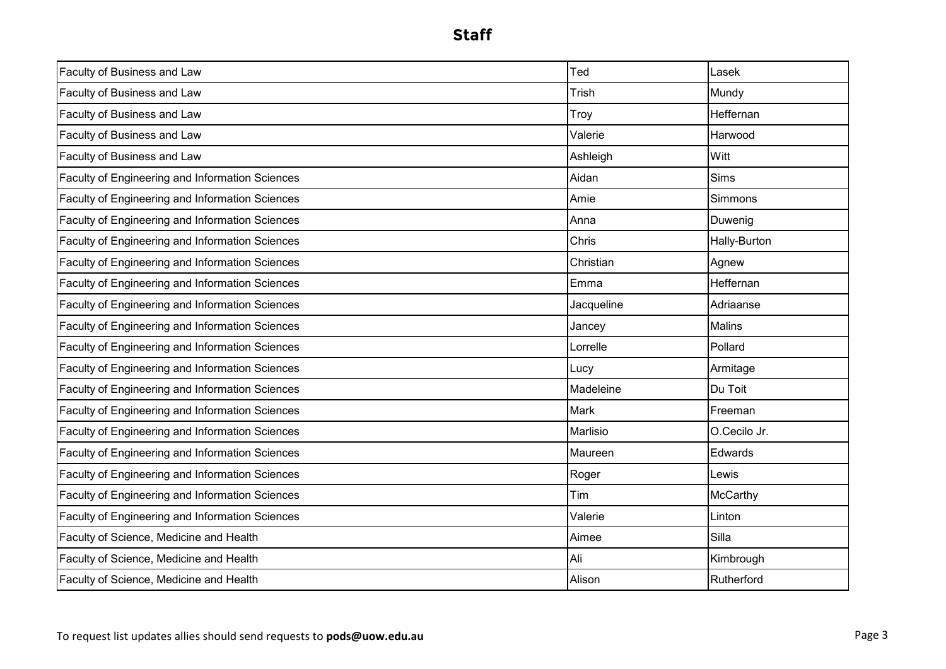| Faculty of Business and Law                     | Ted         | Lasek               |
|-------------------------------------------------|-------------|---------------------|
| Faculty of Business and Law                     | Trish       | Mundy               |
| Faculty of Business and Law                     | Troy        | Heffernan           |
| Faculty of Business and Law                     | Valerie     | Harwood             |
| Faculty of Business and Law                     | Ashleigh    | Witt                |
| Faculty of Engineering and Information Sciences | Aidan       | <b>Sims</b>         |
| Faculty of Engineering and Information Sciences | Amie        | Simmons             |
| Faculty of Engineering and Information Sciences | Anna        | Duwenig             |
| Faculty of Engineering and Information Sciences | Chris       | <b>Hally-Burton</b> |
| Faculty of Engineering and Information Sciences | Christian   | Agnew               |
| Faculty of Engineering and Information Sciences | Emma        | Heffernan           |
| Faculty of Engineering and Information Sciences | Jacqueline  | Adriaanse           |
| Faculty of Engineering and Information Sciences | Jancey      | Malins              |
| Faculty of Engineering and Information Sciences | Lorrelle    | Pollard             |
| Faculty of Engineering and Information Sciences | Lucy        | Armitage            |
| Faculty of Engineering and Information Sciences | Madeleine   | Du Toit             |
| Faculty of Engineering and Information Sciences | <b>Mark</b> | Freeman             |
| Faculty of Engineering and Information Sciences | Marlisio    | O.Cecilo Jr.        |
| Faculty of Engineering and Information Sciences | Maureen     | Edwards             |
| Faculty of Engineering and Information Sciences | Roger       | Lewis               |
| Faculty of Engineering and Information Sciences | Tim         | McCarthy            |
| Faculty of Engineering and Information Sciences | Valerie     | Linton              |
| Faculty of Science, Medicine and Health         | Aimee       | Silla               |
| Faculty of Science, Medicine and Health         | Ali         | Kimbrough           |
| Faculty of Science, Medicine and Health         | Alison      | Rutherford          |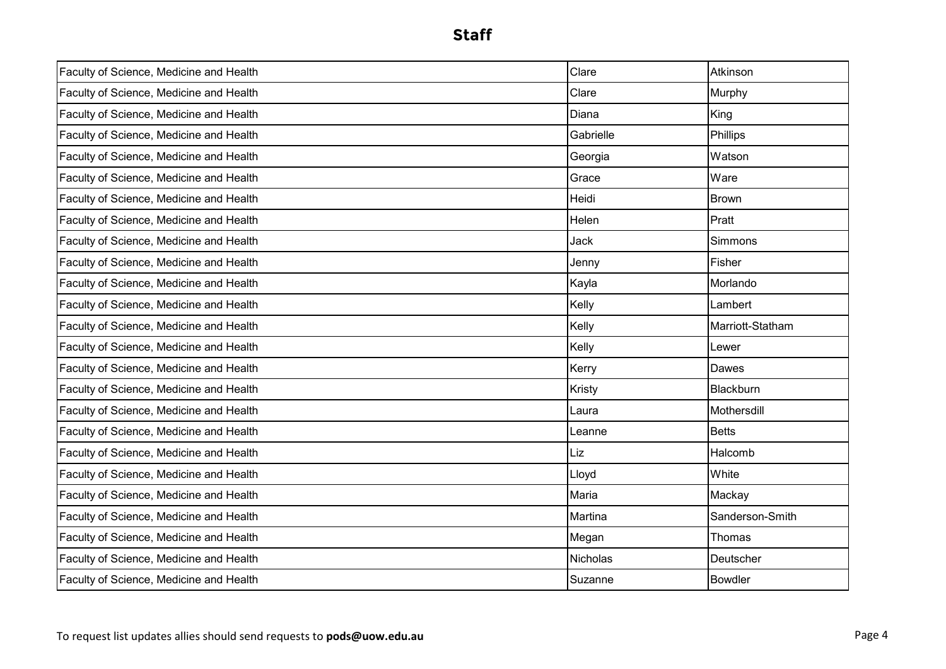| Faculty of Science, Medicine and Health | Clare           | Atkinson         |
|-----------------------------------------|-----------------|------------------|
| Faculty of Science, Medicine and Health | Clare           | Murphy           |
| Faculty of Science, Medicine and Health | Diana           | King             |
| Faculty of Science, Medicine and Health | Gabrielle       | Phillips         |
| Faculty of Science, Medicine and Health | Georgia         | Watson           |
| Faculty of Science, Medicine and Health | Grace           | Ware             |
| Faculty of Science, Medicine and Health | Heidi           | Brown            |
| Faculty of Science, Medicine and Health | Helen           | Pratt            |
| Faculty of Science, Medicine and Health | Jack            | <b>Simmons</b>   |
| Faculty of Science, Medicine and Health | Jenny           | Fisher           |
| Faculty of Science, Medicine and Health | Kayla           | Morlando         |
| Faculty of Science, Medicine and Health | Kelly           | Lambert          |
| Faculty of Science, Medicine and Health | Kelly           | Marriott-Statham |
| Faculty of Science, Medicine and Health | Kelly           | Lewer            |
| Faculty of Science, Medicine and Health | Kerry           | Dawes            |
| Faculty of Science, Medicine and Health | Kristy          | Blackburn        |
| Faculty of Science, Medicine and Health | Laura           | Mothersdill      |
| Faculty of Science, Medicine and Health | Leanne          | <b>Betts</b>     |
| Faculty of Science, Medicine and Health | Liz             | Halcomb          |
| Faculty of Science, Medicine and Health | Lloyd           | White            |
| Faculty of Science, Medicine and Health | Maria           | Mackay           |
| Faculty of Science, Medicine and Health | Martina         | Sanderson-Smith  |
| Faculty of Science, Medicine and Health | Megan           | Thomas           |
| Faculty of Science, Medicine and Health | <b>Nicholas</b> | Deutscher        |
| Faculty of Science, Medicine and Health | Suzanne         | <b>Bowdler</b>   |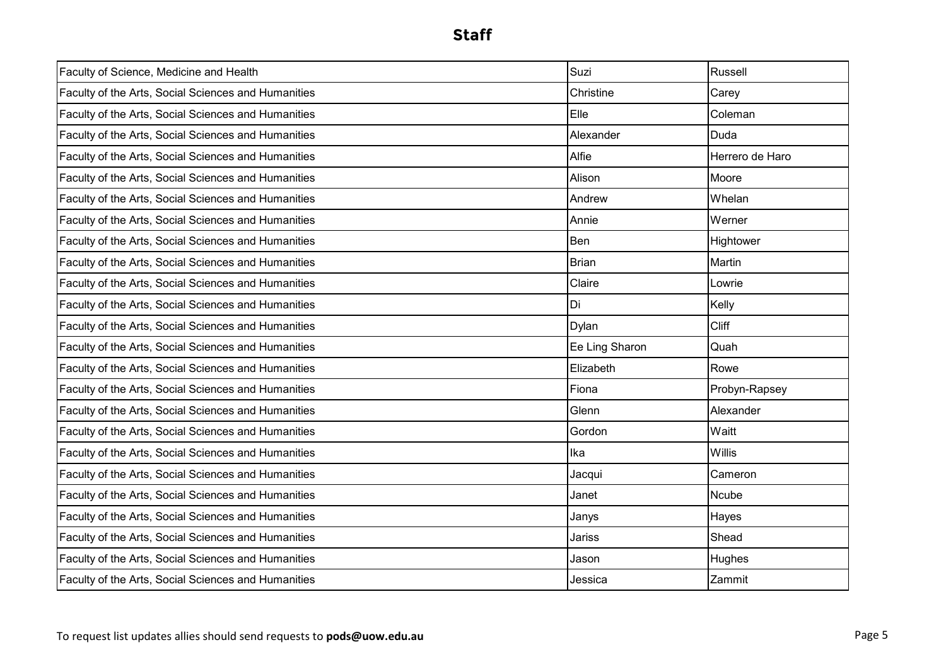| Faculty of Science, Medicine and Health             | Suzi           | Russell         |
|-----------------------------------------------------|----------------|-----------------|
| Faculty of the Arts, Social Sciences and Humanities | Christine      | Carey           |
| Faculty of the Arts, Social Sciences and Humanities | Elle           | Coleman         |
| Faculty of the Arts, Social Sciences and Humanities | Alexander      | Duda            |
| Faculty of the Arts, Social Sciences and Humanities | Alfie          | Herrero de Haro |
| Faculty of the Arts, Social Sciences and Humanities | Alison         | Moore           |
| Faculty of the Arts, Social Sciences and Humanities | Andrew         | Whelan          |
| Faculty of the Arts, Social Sciences and Humanities | Annie          | Werner          |
| Faculty of the Arts, Social Sciences and Humanities | Ben            | Hightower       |
| Faculty of the Arts, Social Sciences and Humanities | <b>Brian</b>   | Martin          |
| Faculty of the Arts, Social Sciences and Humanities | Claire         | Lowrie          |
| Faculty of the Arts, Social Sciences and Humanities | Di             | Kelly           |
| Faculty of the Arts, Social Sciences and Humanities | <b>Dylan</b>   | Cliff           |
| Faculty of the Arts, Social Sciences and Humanities | Ee Ling Sharon | Quah            |
| Faculty of the Arts, Social Sciences and Humanities | Elizabeth      | Rowe            |
| Faculty of the Arts, Social Sciences and Humanities | Fiona          | Probyn-Rapsey   |
| Faculty of the Arts, Social Sciences and Humanities | Glenn          | Alexander       |
| Faculty of the Arts, Social Sciences and Humanities | Gordon         | Waitt           |
| Faculty of the Arts, Social Sciences and Humanities | Ika            | <b>Willis</b>   |
| Faculty of the Arts, Social Sciences and Humanities | Jacqui         | Cameron         |
| Faculty of the Arts, Social Sciences and Humanities | Janet          | Ncube           |
| Faculty of the Arts, Social Sciences and Humanities | Janys          | Hayes           |
| Faculty of the Arts, Social Sciences and Humanities | Jariss         | Shead           |
| Faculty of the Arts, Social Sciences and Humanities | Jason          | Hughes          |
| Faculty of the Arts, Social Sciences and Humanities | Jessica        | Zammit          |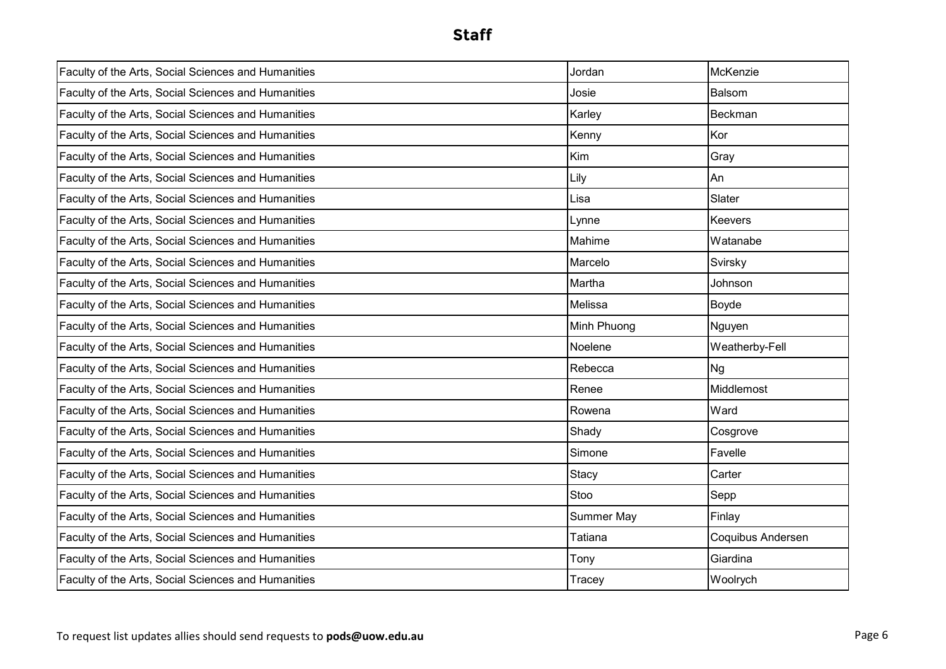| Faculty of the Arts, Social Sciences and Humanities | Jordan            | McKenzie          |
|-----------------------------------------------------|-------------------|-------------------|
| Faculty of the Arts, Social Sciences and Humanities | Josie             | Balsom            |
| Faculty of the Arts, Social Sciences and Humanities | Karley            | Beckman           |
| Faculty of the Arts, Social Sciences and Humanities | Kenny             | Kor               |
| Faculty of the Arts, Social Sciences and Humanities | Kim               | Gray              |
| Faculty of the Arts, Social Sciences and Humanities | Lily              | An                |
| Faculty of the Arts, Social Sciences and Humanities | Lisa              | Slater            |
| Faculty of the Arts, Social Sciences and Humanities | Lynne             | Keevers           |
| Faculty of the Arts, Social Sciences and Humanities | Mahime            | Watanabe          |
| Faculty of the Arts, Social Sciences and Humanities | Marcelo           | Svirsky           |
| Faculty of the Arts, Social Sciences and Humanities | Martha            | Johnson           |
| Faculty of the Arts, Social Sciences and Humanities | Melissa           | Boyde             |
| Faculty of the Arts, Social Sciences and Humanities | Minh Phuong       | Nguyen            |
| Faculty of the Arts, Social Sciences and Humanities | Noelene           | Weatherby-Fell    |
| Faculty of the Arts, Social Sciences and Humanities | Rebecca           | <b>Ng</b>         |
| Faculty of the Arts, Social Sciences and Humanities | Renee             | Middlemost        |
| Faculty of the Arts, Social Sciences and Humanities | Rowena            | Ward              |
| Faculty of the Arts, Social Sciences and Humanities | Shady             | Cosgrove          |
| Faculty of the Arts, Social Sciences and Humanities | Simone            | Favelle           |
| Faculty of the Arts, Social Sciences and Humanities | Stacy             | Carter            |
| Faculty of the Arts, Social Sciences and Humanities | Stoo              | Sepp              |
| Faculty of the Arts, Social Sciences and Humanities | <b>Summer May</b> | Finlay            |
| Faculty of the Arts, Social Sciences and Humanities | Tatiana           | Coquibus Andersen |
| Faculty of the Arts, Social Sciences and Humanities | Tony              | Giardina          |
| Faculty of the Arts, Social Sciences and Humanities | Tracey            | Woolrych          |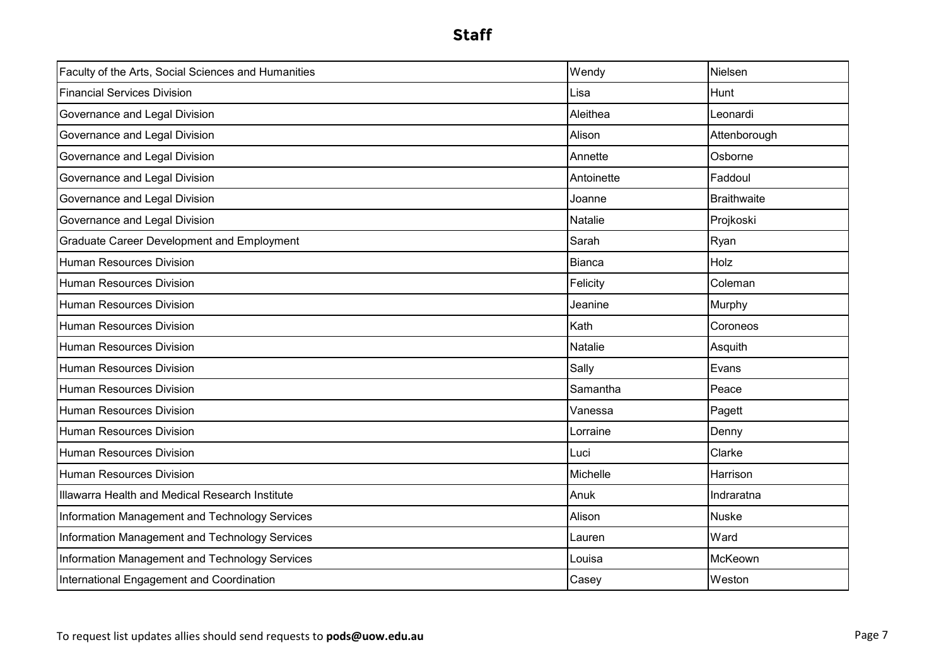| Faculty of the Arts, Social Sciences and Humanities | Wendy          | Nielsen            |
|-----------------------------------------------------|----------------|--------------------|
| <b>Financial Services Division</b>                  | Lisa           | Hunt               |
| Governance and Legal Division                       | Aleithea       | Leonardi           |
| Governance and Legal Division                       | Alison         | Attenborough       |
| Governance and Legal Division                       | Annette        | Osborne            |
| Governance and Legal Division                       | Antoinette     | Faddoul            |
| Governance and Legal Division                       | Joanne         | <b>Braithwaite</b> |
| Governance and Legal Division                       | Natalie        | Projkoski          |
| <b>Graduate Career Development and Employment</b>   | Sarah          | Ryan               |
| <b>Human Resources Division</b>                     | Bianca         | Holz               |
| Human Resources Division                            | Felicity       | Coleman            |
| <b>Human Resources Division</b>                     | Jeanine        | Murphy             |
| <b>Human Resources Division</b>                     | Kath           | Coroneos           |
| <b>Human Resources Division</b>                     | <b>Natalie</b> | Asquith            |
| Human Resources Division                            | Sally          | Evans              |
| Human Resources Division                            | Samantha       | Peace              |
| <b>Human Resources Division</b>                     | Vanessa        | Pagett             |
| <b>Human Resources Division</b>                     | Lorraine       | Denny              |
| <b>Human Resources Division</b>                     | Luci           | Clarke             |
| <b>Human Resources Division</b>                     | Michelle       | Harrison           |
| Illawarra Health and Medical Research Institute     | Anuk           | Indraratna         |
| Information Management and Technology Services      | Alison         | <b>Nuske</b>       |
| Information Management and Technology Services      | ∟auren         | Ward               |
| Information Management and Technology Services      | Louisa         | McKeown            |
| International Engagement and Coordination           | Casey          | Weston             |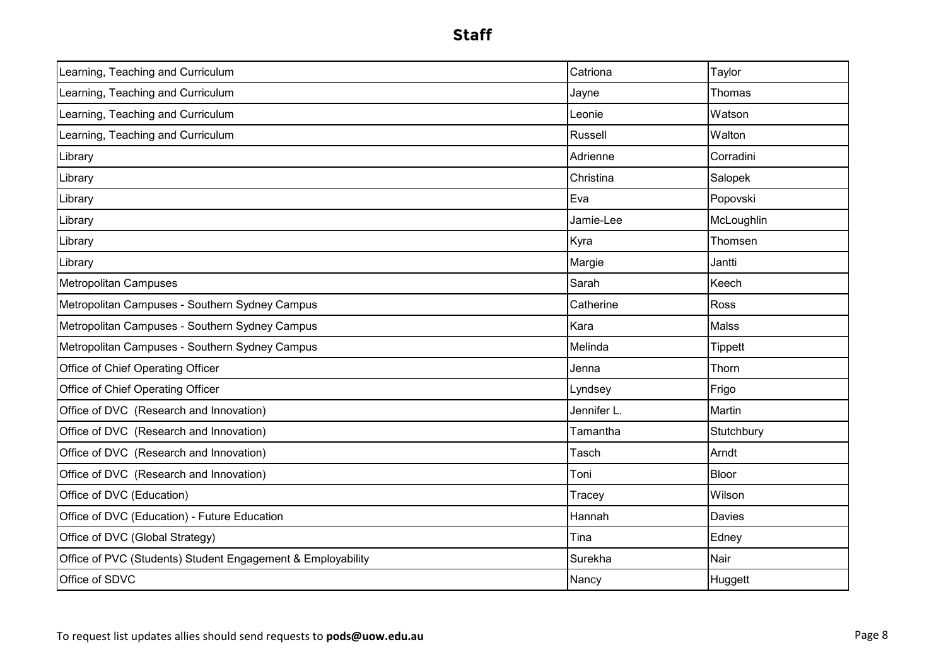| Learning, Teaching and Curriculum                           | Catriona       | Taylor         |
|-------------------------------------------------------------|----------------|----------------|
| Learning, Teaching and Curriculum                           | Jayne          | Thomas         |
| Learning, Teaching and Curriculum                           | Leonie         | Watson         |
| Learning, Teaching and Curriculum                           | <b>Russell</b> | Walton         |
| Library                                                     | Adrienne       | Corradini      |
| Library                                                     | Christina      | Salopek        |
| Library                                                     | Eva            | Popovski       |
| Library                                                     | Jamie-Lee      | McLoughlin     |
| Library                                                     | Kyra           | Thomsen        |
| Library                                                     | Margie         | Jantti         |
| <b>Metropolitan Campuses</b>                                | Sarah          | Keech          |
| Metropolitan Campuses - Southern Sydney Campus              | Catherine      | <b>Ross</b>    |
| Metropolitan Campuses - Southern Sydney Campus              | Kara           | <b>Malss</b>   |
| Metropolitan Campuses - Southern Sydney Campus              | Melinda        | <b>Tippett</b> |
| Office of Chief Operating Officer                           | Jenna          | Thorn          |
| Office of Chief Operating Officer                           | Lyndsey        | Frigo          |
| Office of DVC (Research and Innovation)                     | Jennifer L.    | Martin         |
| Office of DVC (Research and Innovation)                     | Tamantha       | Stutchbury     |
| Office of DVC (Research and Innovation)                     | Tasch          | Arndt          |
| Office of DVC (Research and Innovation)                     | Toni           | Bloor          |
| Office of DVC (Education)                                   | Tracey         | Wilson         |
| Office of DVC (Education) - Future Education                | Hannah         | Davies         |
| Office of DVC (Global Strategy)                             | Tina           | Edney          |
| Office of PVC (Students) Student Engagement & Employability | Surekha        | Nair           |
| Office of SDVC                                              | Nancy          | Huggett        |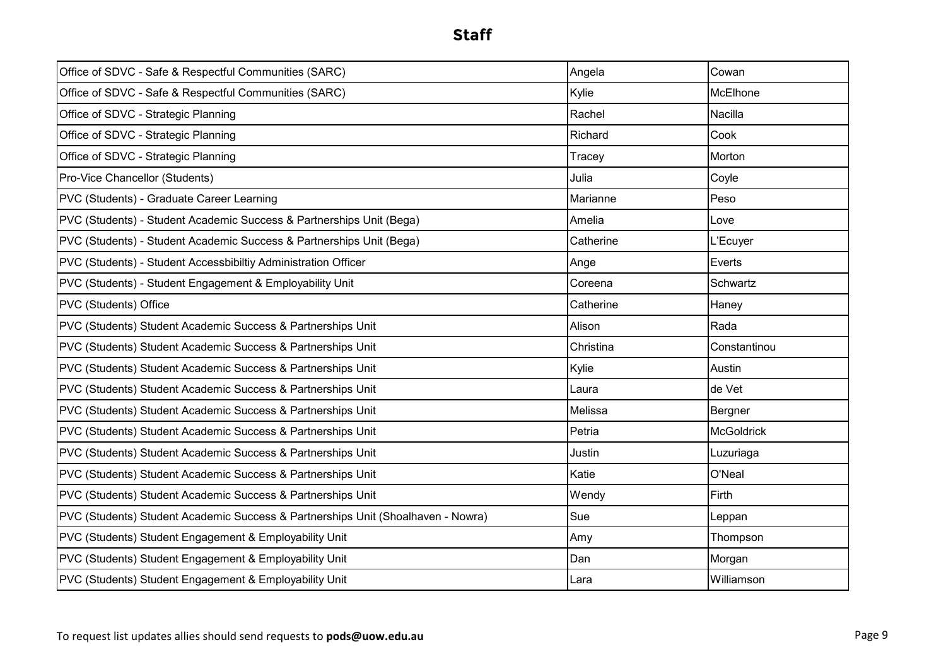| Office of SDVC - Safe & Respectful Communities (SARC)                            | Angela    | Cowan             |
|----------------------------------------------------------------------------------|-----------|-------------------|
| Office of SDVC - Safe & Respectful Communities (SARC)                            | Kylie     | McElhone          |
| Office of SDVC - Strategic Planning                                              | Rachel    | Nacilla           |
| Office of SDVC - Strategic Planning                                              | Richard   | Cook              |
| Office of SDVC - Strategic Planning                                              | Tracey    | Morton            |
| Pro-Vice Chancellor (Students)                                                   | Julia     | Coyle             |
| PVC (Students) - Graduate Career Learning                                        | Marianne  | Peso              |
| PVC (Students) - Student Academic Success & Partnerships Unit (Bega)             | Amelia    | Love              |
| PVC (Students) - Student Academic Success & Partnerships Unit (Bega)             | Catherine | L'Ecuyer          |
| PVC (Students) - Student Accessbibiltiy Administration Officer                   | Ange      | Everts            |
| PVC (Students) - Student Engagement & Employability Unit                         | Coreena   | Schwartz          |
| PVC (Students) Office                                                            | Catherine | Haney             |
| PVC (Students) Student Academic Success & Partnerships Unit                      | Alison    | Rada              |
| PVC (Students) Student Academic Success & Partnerships Unit                      | Christina | Constantinou      |
| PVC (Students) Student Academic Success & Partnerships Unit                      | Kylie     | Austin            |
| PVC (Students) Student Academic Success & Partnerships Unit                      | Laura     | de Vet            |
| PVC (Students) Student Academic Success & Partnerships Unit                      | Melissa   | Bergner           |
| PVC (Students) Student Academic Success & Partnerships Unit                      | Petria    | <b>McGoldrick</b> |
| PVC (Students) Student Academic Success & Partnerships Unit                      | Justin    | Luzuriaga         |
| PVC (Students) Student Academic Success & Partnerships Unit                      | Katie     | O'Neal            |
| PVC (Students) Student Academic Success & Partnerships Unit                      | Wendy     | Firth             |
| PVC (Students) Student Academic Success & Partnerships Unit (Shoalhaven - Nowra) | Sue       | Leppan            |
| PVC (Students) Student Engagement & Employability Unit                           | Amy       | Thompson          |
| PVC (Students) Student Engagement & Employability Unit                           | Dan       | Morgan            |
| PVC (Students) Student Engagement & Employability Unit                           | Lara      | Williamson        |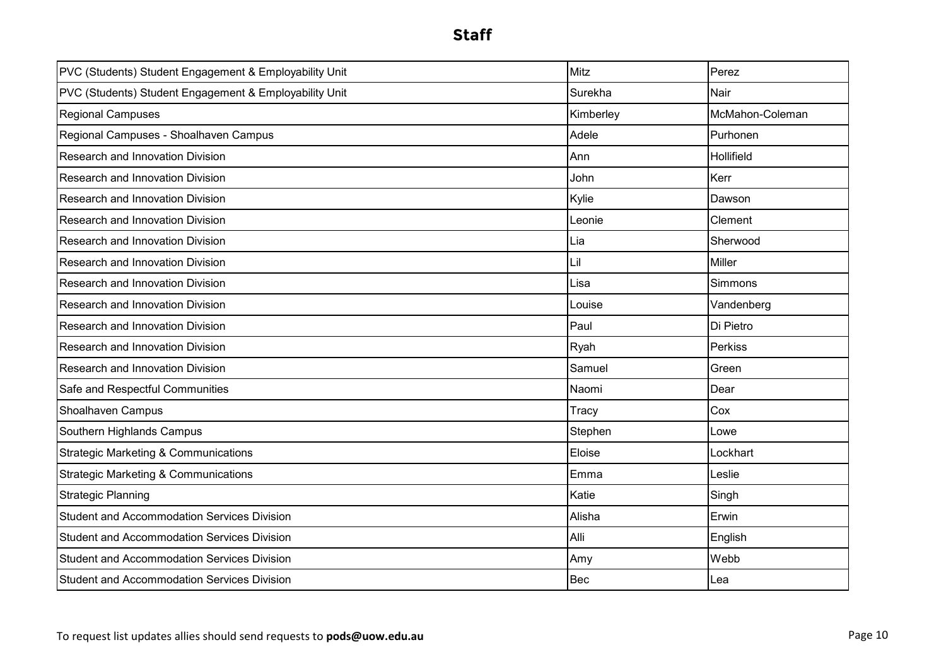| PVC (Students) Student Engagement & Employability Unit | <b>Mitz</b> | Perez           |
|--------------------------------------------------------|-------------|-----------------|
| PVC (Students) Student Engagement & Employability Unit | Surekha     | Nair            |
| <b>Regional Campuses</b>                               | Kimberley   | McMahon-Coleman |
| Regional Campuses - Shoalhaven Campus                  | Adele       | Purhonen        |
| Research and Innovation Division                       | Ann         | Hollifield      |
| Research and Innovation Division                       | John        | Kerr            |
| Research and Innovation Division                       | Kylie       | Dawson          |
| Research and Innovation Division                       | ∟eonie      | Clement         |
| Research and Innovation Division                       | Lia         | Sherwood        |
| Research and Innovation Division                       | li_         | <b>Miller</b>   |
| Research and Innovation Division                       | Lisa        | <b>Simmons</b>  |
| Research and Innovation Division                       | Louise      | Vandenberg      |
| Research and Innovation Division                       | Paul        | Di Pietro       |
| Research and Innovation Division                       | Ryah        | Perkiss         |
| Research and Innovation Division                       | Samuel      | Green           |
| Safe and Respectful Communities                        | Naomi       | Dear            |
| Shoalhaven Campus                                      | Tracy       | Cox             |
| Southern Highlands Campus                              | Stephen     | Lowe            |
| <b>Strategic Marketing &amp; Communications</b>        | Eloise      | Lockhart        |
| <b>Strategic Marketing &amp; Communications</b>        | Emma        | Leslie          |
| <b>Strategic Planning</b>                              | Katie       | Singh           |
| <b>Student and Accommodation Services Division</b>     | Alisha      | Erwin           |
| <b>Student and Accommodation Services Division</b>     | Alli        | English         |
| <b>Student and Accommodation Services Division</b>     | Amy         | Webb            |
| <b>Student and Accommodation Services Division</b>     | Bec         | Lea             |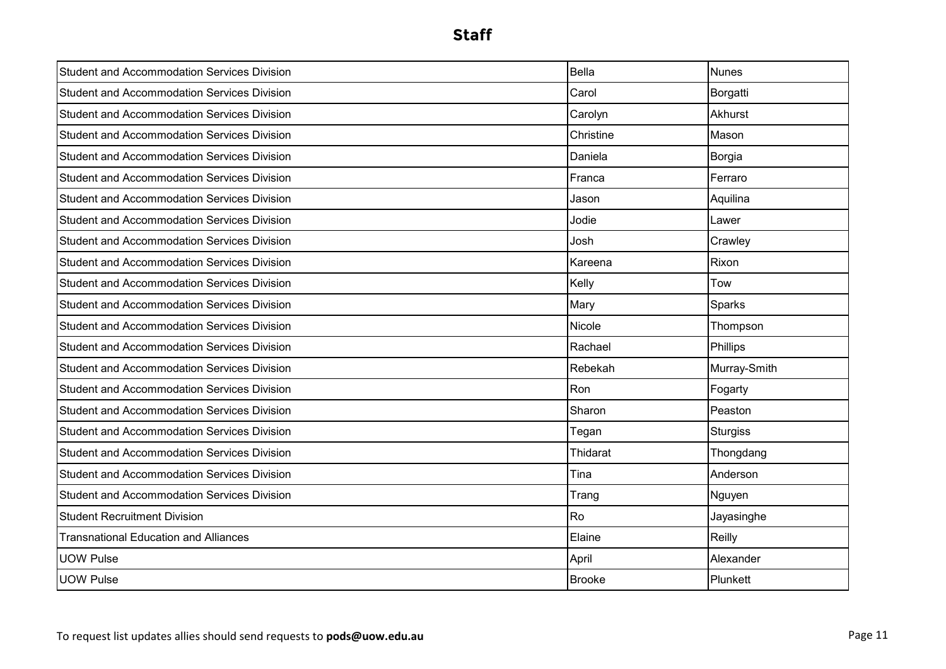| <b>Student and Accommodation Services Division</b> | <b>Bella</b>  | <b>Nunes</b>    |
|----------------------------------------------------|---------------|-----------------|
| <b>Student and Accommodation Services Division</b> | Carol         | Borgatti        |
| <b>Student and Accommodation Services Division</b> | Carolyn       | Akhurst         |
| <b>Student and Accommodation Services Division</b> | Christine     | Mason           |
| <b>Student and Accommodation Services Division</b> | Daniela       | Borgia          |
| <b>Student and Accommodation Services Division</b> | Franca        | Ferraro         |
| <b>Student and Accommodation Services Division</b> | Jason         | Aquilina        |
| <b>Student and Accommodation Services Division</b> | Jodie         | Lawer           |
| <b>Student and Accommodation Services Division</b> | Josh          | Crawley         |
| <b>Student and Accommodation Services Division</b> | Kareena       | Rixon           |
| <b>Student and Accommodation Services Division</b> | Kelly         | Tow             |
| <b>Student and Accommodation Services Division</b> | Mary          | Sparks          |
| <b>Student and Accommodation Services Division</b> | Nicole        | Thompson        |
| <b>Student and Accommodation Services Division</b> | Rachael       | Phillips        |
| <b>Student and Accommodation Services Division</b> | Rebekah       | Murray-Smith    |
| <b>Student and Accommodation Services Division</b> | Ron           | Fogarty         |
| <b>Student and Accommodation Services Division</b> | Sharon        | Peaston         |
| <b>Student and Accommodation Services Division</b> | Tegan         | <b>Sturgiss</b> |
| <b>Student and Accommodation Services Division</b> | Thidarat      | Thongdang       |
| <b>Student and Accommodation Services Division</b> | Tina          | Anderson        |
| <b>Student and Accommodation Services Division</b> | Trang         | Nguyen          |
| <b>Student Recruitment Division</b>                | Ro            | Jayasinghe      |
| <b>Transnational Education and Alliances</b>       | Elaine        | Reilly          |
| <b>UOW Pulse</b>                                   | April         | Alexander       |
| <b>UOW Pulse</b>                                   | <b>Brooke</b> | Plunkett        |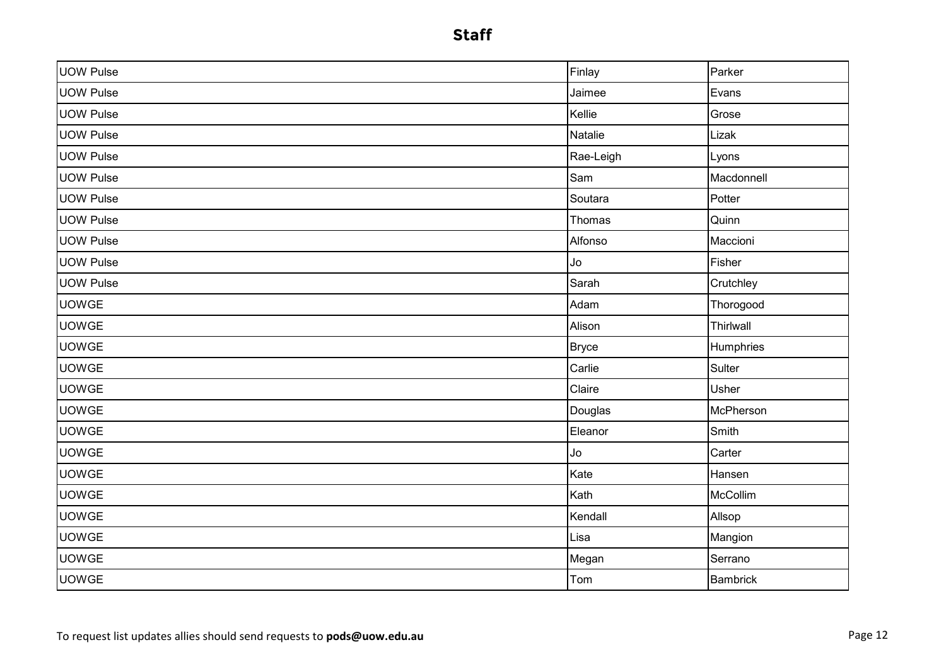| <b>UOW Pulse</b> | Finlay       | Parker          |
|------------------|--------------|-----------------|
| <b>UOW Pulse</b> | Jaimee       | Evans           |
| <b>UOW Pulse</b> | Kellie       | Grose           |
| <b>UOW Pulse</b> | Natalie      | Lizak           |
| <b>UOW Pulse</b> | Rae-Leigh    | Lyons           |
| <b>UOW Pulse</b> | Sam          | Macdonnell      |
| <b>UOW Pulse</b> | Soutara      | Potter          |
| <b>UOW Pulse</b> | Thomas       | Quinn           |
| <b>UOW Pulse</b> | Alfonso      | Maccioni        |
| UOW Pulse        | Jo           | Fisher          |
| <b>UOW Pulse</b> | Sarah        | Crutchley       |
| <b>UOWGE</b>     | Adam         | Thorogood       |
| <b>UOWGE</b>     | Alison       | Thirlwall       |
| <b>UOWGE</b>     | <b>Bryce</b> | Humphries       |
| <b>UOWGE</b>     | Carlie       | Sulter          |
| <b>UOWGE</b>     | Claire       | Usher           |
| <b>UOWGE</b>     | Douglas      | McPherson       |
| <b>UOWGE</b>     | Eleanor      | Smith           |
| <b>UOWGE</b>     | Jo           | Carter          |
| <b>UOWGE</b>     | Kate         | Hansen          |
| <b>UOWGE</b>     | Kath         | McCollim        |
| <b>UOWGE</b>     | Kendall      | Allsop          |
| <b>UOWGE</b>     | Lisa         | Mangion         |
| <b>UOWGE</b>     | Megan        | Serrano         |
| <b>UOWGE</b>     | Tom          | <b>Bambrick</b> |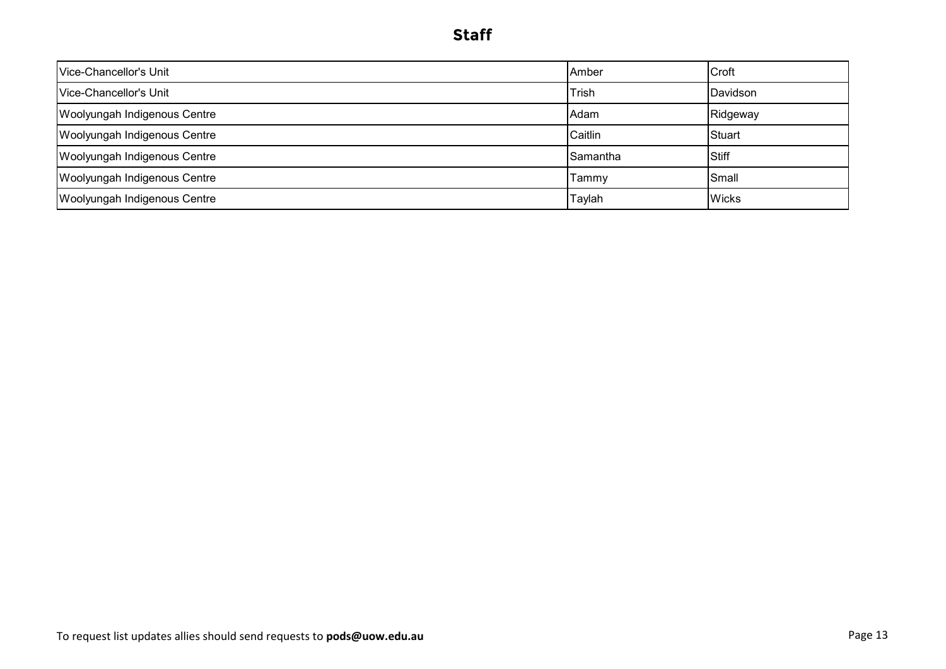| lVice-Chancellor's Unit             | Amber       | Croft        |
|-------------------------------------|-------------|--------------|
| Vice-Chancellor's Unit              | Trish       | Davidson     |
| Woolyungah Indigenous Centre        | <b>Adam</b> | Ridgeway     |
| <b>Woolyungah Indigenous Centre</b> | Caitlin     | Stuart       |
| Woolyungah Indigenous Centre        | Samantha    | <b>Stiff</b> |
| <b>Woolyungah Indigenous Centre</b> | Tammy       | Small        |
| Woolyungah Indigenous Centre        | Taylah      | <b>Wicks</b> |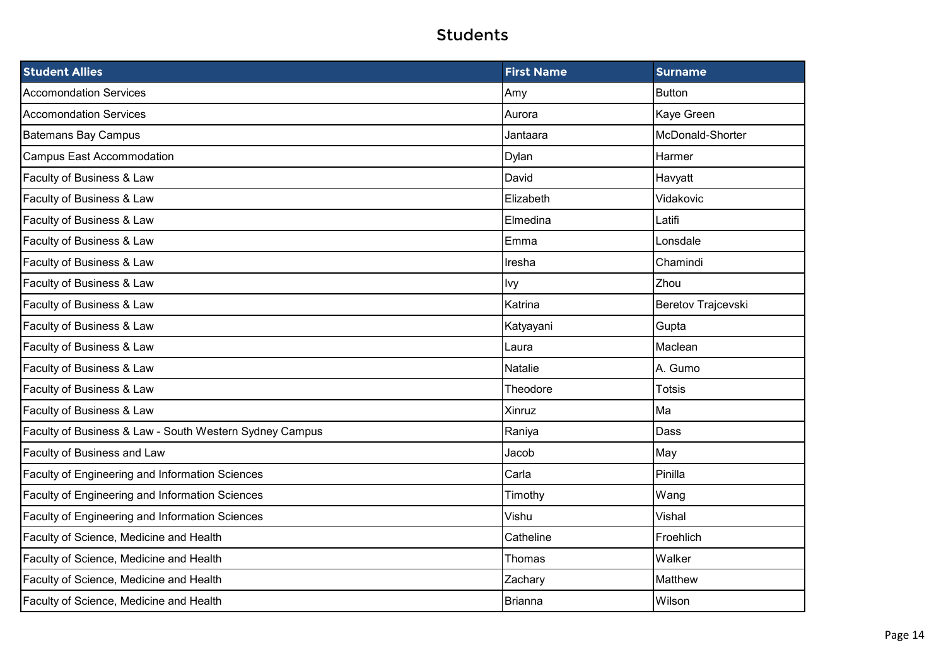| <b>Student Allies</b>                                   | <b>First Name</b> | <b>Surname</b>     |
|---------------------------------------------------------|-------------------|--------------------|
| <b>Accomondation Services</b>                           | Amy               | <b>Button</b>      |
| <b>Accomondation Services</b>                           | Aurora            | Kaye Green         |
| <b>Batemans Bay Campus</b>                              | Jantaara          | McDonald-Shorter   |
| <b>Campus East Accommodation</b>                        | Dylan             | Harmer             |
| Faculty of Business & Law                               | David             | Havyatt            |
| Faculty of Business & Law                               | Elizabeth         | Vidakovic          |
| Faculty of Business & Law                               | Elmedina          | Latifi             |
| Faculty of Business & Law                               | Emma              | Lonsdale           |
| Faculty of Business & Law                               | Iresha            | Chamindi           |
| Faculty of Business & Law                               | lvy               | Zhou               |
| Faculty of Business & Law                               | Katrina           | Beretov Trajcevski |
| Faculty of Business & Law                               | Katyayani         | Gupta              |
| Faculty of Business & Law                               | Laura             | Maclean            |
| Faculty of Business & Law                               | <b>Natalie</b>    | A. Gumo            |
| Faculty of Business & Law                               | Theodore          | <b>Totsis</b>      |
| Faculty of Business & Law                               | Xinruz            | Ma                 |
| Faculty of Business & Law - South Western Sydney Campus | Raniya            | Dass               |
| Faculty of Business and Law                             | Jacob             | May                |
| Faculty of Engineering and Information Sciences         | Carla             | Pinilla            |
| Faculty of Engineering and Information Sciences         | Timothy           | Wang               |
| Faculty of Engineering and Information Sciences         | Vishu             | Vishal             |
| Faculty of Science, Medicine and Health                 | Catheline         | Froehlich          |
| Faculty of Science, Medicine and Health                 | Thomas            | Walker             |
| Faculty of Science, Medicine and Health                 | Zachary           | Matthew            |
| Faculty of Science, Medicine and Health                 | Brianna           | Wilson             |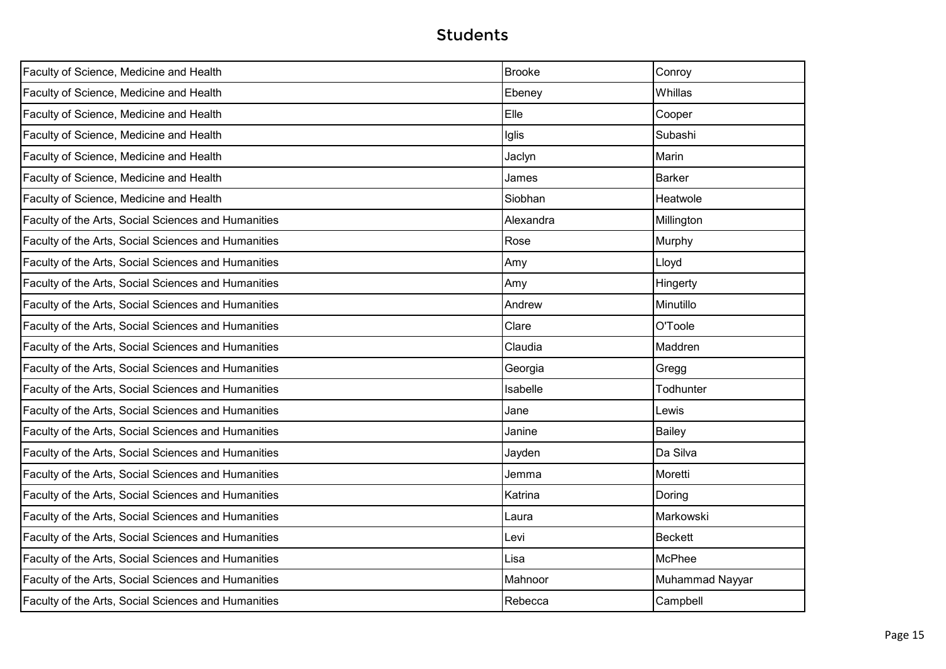| Faculty of Science, Medicine and Health             | <b>Brooke</b> | Conroy          |
|-----------------------------------------------------|---------------|-----------------|
| Faculty of Science, Medicine and Health             | Ebeney        | Whillas         |
| Faculty of Science, Medicine and Health             | Elle          | Cooper          |
| Faculty of Science, Medicine and Health             | Iglis         | Subashi         |
| Faculty of Science, Medicine and Health             | Jaclyn        | Marin           |
| Faculty of Science, Medicine and Health             | James         | <b>Barker</b>   |
| Faculty of Science, Medicine and Health             | Siobhan       | Heatwole        |
| Faculty of the Arts, Social Sciences and Humanities | Alexandra     | Millington      |
| Faculty of the Arts, Social Sciences and Humanities | Rose          | Murphy          |
| Faculty of the Arts, Social Sciences and Humanities | Amy           | Lloyd           |
| Faculty of the Arts, Social Sciences and Humanities | Amy           | Hingerty        |
| Faculty of the Arts, Social Sciences and Humanities | Andrew        | Minutillo       |
| Faculty of the Arts, Social Sciences and Humanities | Clare         | O'Toole         |
| Faculty of the Arts, Social Sciences and Humanities | Claudia       | Maddren         |
| Faculty of the Arts, Social Sciences and Humanities | Georgia       | Gregg           |
| Faculty of the Arts, Social Sciences and Humanities | Isabelle      | Todhunter       |
| Faculty of the Arts, Social Sciences and Humanities | Jane          | Lewis           |
| Faculty of the Arts, Social Sciences and Humanities | Janine        | Bailey          |
| Faculty of the Arts, Social Sciences and Humanities | Jayden        | Da Silva        |
| Faculty of the Arts, Social Sciences and Humanities | Jemma         | Moretti         |
| Faculty of the Arts, Social Sciences and Humanities | Katrina       | Doring          |
| Faculty of the Arts, Social Sciences and Humanities | Laura         | Markowski       |
| Faculty of the Arts, Social Sciences and Humanities | Levi          | Beckett         |
| Faculty of the Arts, Social Sciences and Humanities | Lisa          | McPhee          |
| Faculty of the Arts, Social Sciences and Humanities | Mahnoor       | Muhammad Nayyar |
| Faculty of the Arts, Social Sciences and Humanities | Rebecca       | Campbell        |